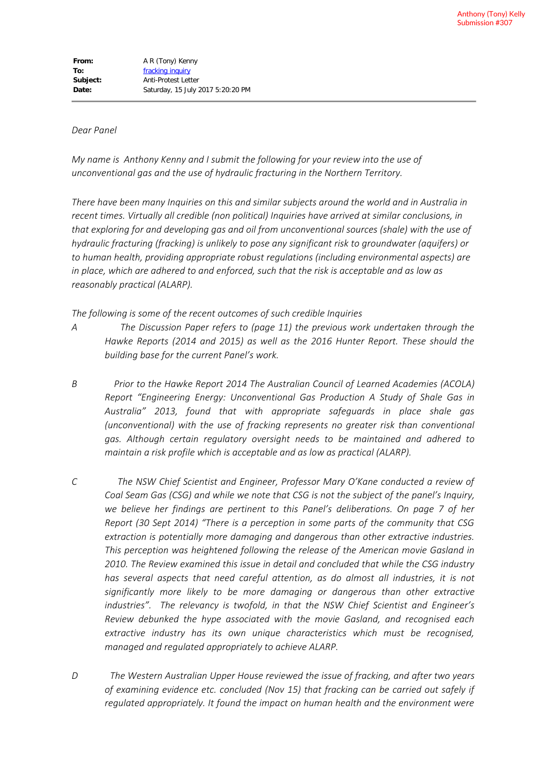## *Dear Panel*

*My name is Anthony Kenny and I submit the following for your review into the use of unconventional gas and the use of hydraulic fracturing in the Northern Territory.*

*There have been many Inquiries on this and similar subjects around the world and in Australia in recent times. Virtually all credible (non political) Inquiries have arrived at similar conclusions, in that exploring for and developing gas and oil from unconventional sources (shale) with the use of hydraulic fracturing (fracking) is unlikely to pose any significant risk to groundwater (aquifers) or to human health, providing appropriate robust regulations (including environmental aspects) are in place, which are adhered to and enforced, such that the risk is acceptable and as low as reasonably practical (ALARP).*

*The following is some of the recent outcomes of such credible Inquiries*

- *A The Discussion Paper refers to (page 11) the previous work undertaken through the Hawke Reports (2014 and 2015) as well as the 2016 Hunter Report. These should the building base for the current Panel's work.*
- *B Prior to the Hawke Report 2014 The Australian Council of Learned Academies (ACOLA) Report "Engineering Energy: Unconventional Gas Production A Study of Shale Gas in Australia" 2013, found that with appropriate safeguards in place shale gas (unconventional) with the use of fracking represents no greater risk than conventional gas. Although certain regulatory oversight needs to be maintained and adhered to maintain a risk profile which is acceptable and as low as practical (ALARP).*
- *C The NSW Chief Scientist and Engineer, Professor Mary O'Kane conducted a review of Coal Seam Gas (CSG) and while we note that CSG is not the subject of the panel's Inquiry, we believe her findings are pertinent to this Panel's deliberations. On page 7 of her Report (30 Sept 2014) "There is a perception in some parts of the community that CSG extraction is potentially more damaging and dangerous than other extractive industries. This perception was heightened following the release of the American movie Gasland in 2010. The Review examined this issue in detail and concluded that while the CSG industry has several aspects that need careful attention, as do almost all industries, it is not significantly more likely to be more damaging or dangerous than other extractive industries". The relevancy is twofold, in that the NSW Chief Scientist and Engineer's Review debunked the hype associated with the movie Gasland, and recognised each extractive industry has its own unique characteristics which must be recognised, managed and regulated appropriately to achieve ALARP.*
- *D The Western Australian Upper House reviewed the issue of fracking, and after two years of examining evidence etc. concluded (Nov 15) that fracking can be carried out safely if regulated appropriately. It found the impact on human health and the environment were*